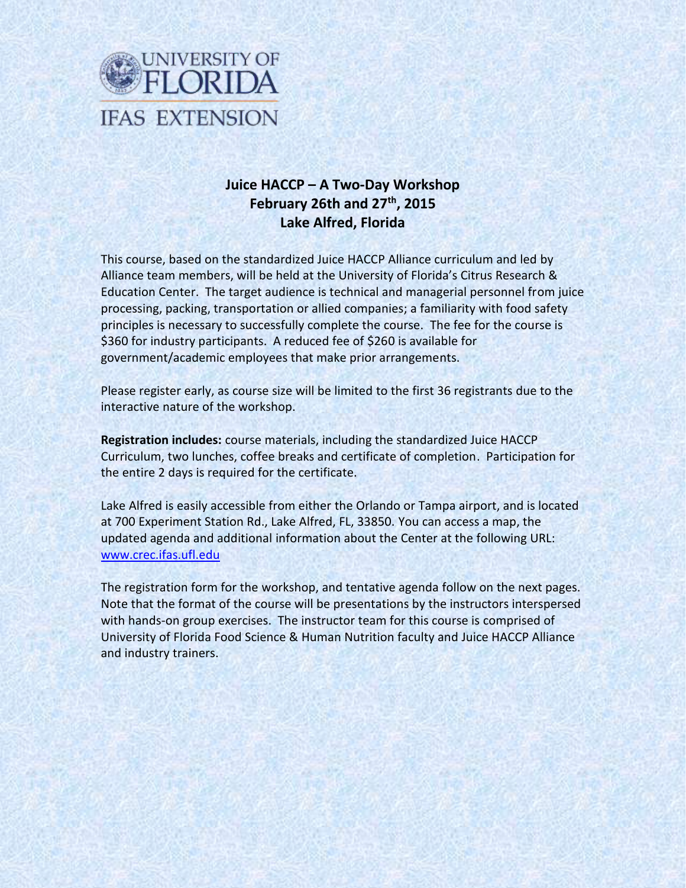

# **Juice HACCP – A Two-Day Workshop February 26th and 27th, 2015 Lake Alfred, Florida**

This course, based on the standardized Juice HACCP Alliance curriculum and led by Alliance team members, will be held at the University of Florida's Citrus Research & Education Center. The target audience is technical and managerial personnel from juice processing, packing, transportation or allied companies; a familiarity with food safety principles is necessary to successfully complete the course. The fee for the course is \$360 for industry participants. A reduced fee of \$260 is available for government/academic employees that make prior arrangements.

Please register early, as course size will be limited to the first 36 registrants due to the interactive nature of the workshop.

**Registration includes:** course materials, including the standardized Juice HACCP Curriculum, two lunches, coffee breaks and certificate of completion. Participation for the entire 2 days is required for the certificate.

Lake Alfred is easily accessible from either the Orlando or Tampa airport, and is located at 700 Experiment Station Rd., Lake Alfred, FL, 33850. You can access a map, the updated agenda and additional information about the Center at the following URL: www.crec.ifas.ufl.edu

The registration form for the workshop, and tentative agenda follow on the next pages. Note that the format of the course will be presentations by the instructors interspersed with hands-on group exercises. The instructor team for this course is comprised of University of Florida Food Science & Human Nutrition faculty and Juice HACCP Alliance and industry trainers.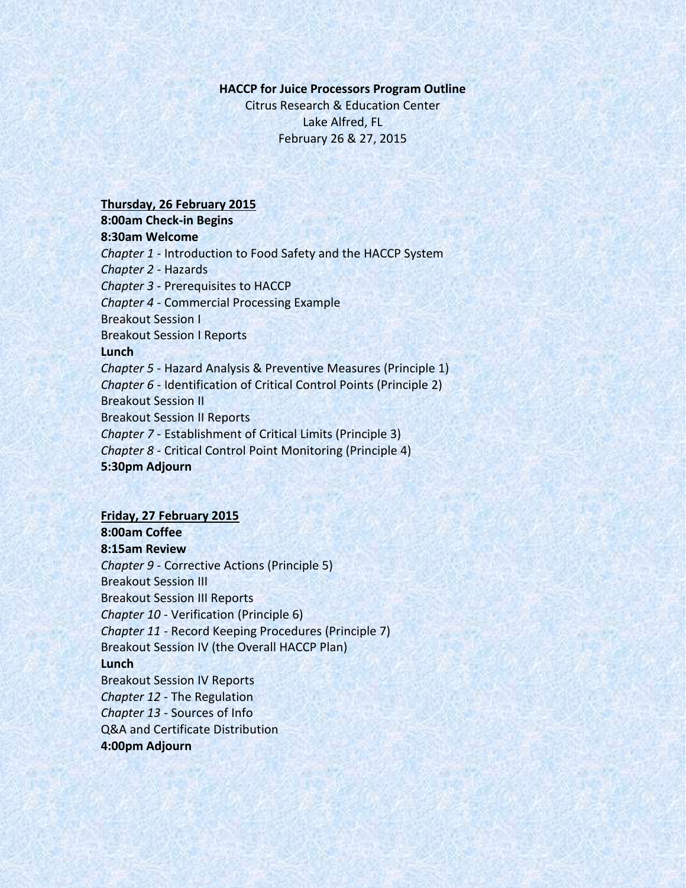#### **HACCP for Juice Processors Program Outline**

Citrus Research & Education Center Lake Alfred, FL February 26 & 27, 2015

#### **Thursday, 26 February 2015**

**8:00am Check-in Begins 8:30am Welcome** *Chapter 1* - Introduction to Food Safety and the HACCP System *Chapter 2* - Hazards *Chapter 3* - Prerequisites to HACCP *Chapter 4* - Commercial Processing Example

Breakout Session I

Breakout Session I Reports

## **Lunch**

*Chapter 5* - Hazard Analysis & Preventive Measures (Principle 1) *Chapter 6* - Identification of Critical Control Points (Principle 2) Breakout Session II Breakout Session II Reports *Chapter 7* - Establishment of Critical Limits (Principle 3) *Chapter 8* - Critical Control Point Monitoring (Principle 4)

**5:30pm Adjourn**

### **Friday, 27 February 2015**

# **8:00am Coffee**

**8:15am Review**

*Chapter 9* - Corrective Actions (Principle 5) Breakout Session III Breakout Session III Reports *Chapter 10* - Verification (Principle 6) *Chapter 11* - Record Keeping Procedures (Principle 7) Breakout Session IV (the Overall HACCP Plan) **Lunch** Breakout Session IV Reports *Chapter 12* - The Regulation *Chapter 13* - Sources of Info Q&A and Certificate Distribution

## **4:00pm Adjourn**